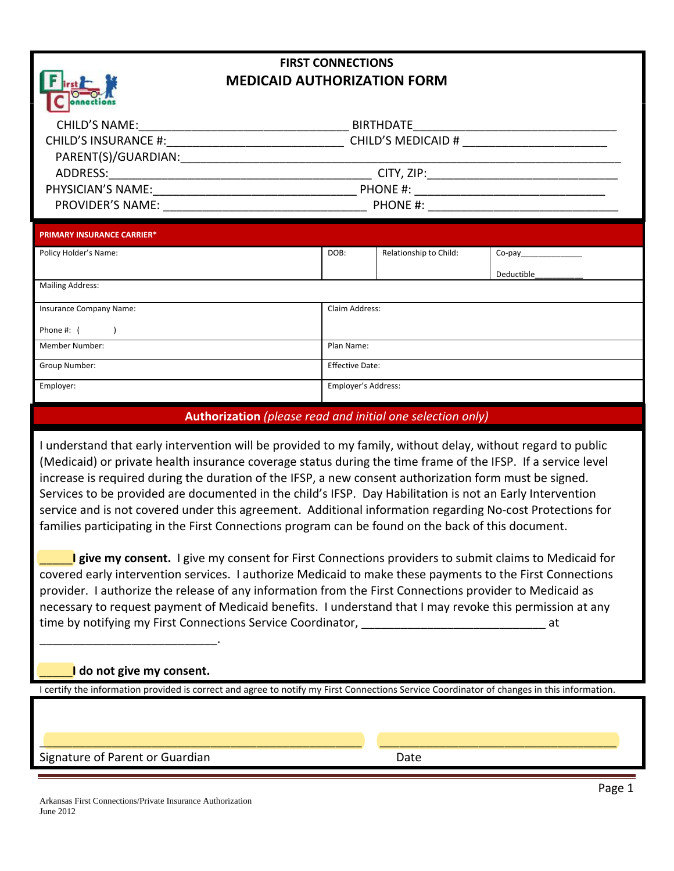## **FIRST CONNECTIONS MEDICAID AUTHORIZATION FORM**

| <b>CHILD'S NAME:</b>        | <b>BIRTHDATE</b>          |  |
|-----------------------------|---------------------------|--|
| <b>CHILD'S INSURANCE #:</b> | <b>CHILD'S MEDICAID #</b> |  |
| PARENT(S)/GUARDIAN:         |                           |  |
| ADDRESS:                    | CITY, ZIP:                |  |
| PHYSICIAN'S NAME:           | PHONE #:                  |  |
| <b>PROVIDER'S NAME:</b>     | PHONE #:                  |  |
|                             |                           |  |

| <b>PRIMARY INSURANCE CARRIER*</b> |                        |                        |            |  |
|-----------------------------------|------------------------|------------------------|------------|--|
| Policy Holder's Name:             | DOB:                   | Relationship to Child: | Co-pay     |  |
|                                   |                        |                        | Deductible |  |
| <b>Mailing Address:</b>           |                        |                        |            |  |
|                                   |                        |                        |            |  |
| Insurance Company Name:           | Claim Address:         |                        |            |  |
| Phone #:                          |                        |                        |            |  |
| <b>Member Number:</b>             | Plan Name:             |                        |            |  |
| Group Number:                     | <b>Effective Date:</b> |                        |            |  |
| Employer:                         | Employer's Address:    |                        |            |  |

### **Authorization** *(please read and initial one selection only)*

I understand that early intervention will be provided to my family, without delay, without regard to public (Medicaid) or private health insurance coverage status during the time frame of the IFSP. If a service level increase is required during the duration of the IFSP, a new consent authorization form must be signed. Services to be provided are documented in the child's IFSP. Day Habilitation is not an Early Intervention service and is not covered under this agreement. Additional information regarding No‐cost Protections for families participating in the First Connections program can be found on the back of this document.

\_\_\_\_\_**I give my consent.** I give my consent for First Connections providers to submit claims to Medicaid for covered early intervention services. I authorize Medicaid to make these payments to the First Connections provider. I authorize the release of any information from the First Connections provider to Medicaid as necessary to request payment of Medicaid benefits. I understand that I may revoke this permission at any time by notifying my First Connections Service Coordinator, **Example 20** 12 at

#### \_\_\_\_\_**I do not give my consent.**

\_\_\_\_\_\_\_\_\_\_\_\_\_\_\_\_\_\_\_\_\_\_\_\_\_\_\_.

I certify the information provided is correct and agree to notify my First Connections Service Coordinator of changes in this information.

Signature of Parent or Guardian Date

\_\_\_\_\_\_\_\_\_\_\_\_\_\_\_\_\_\_\_\_\_\_\_\_\_\_\_\_\_\_\_\_\_\_\_\_\_\_\_\_\_\_\_\_\_\_\_\_\_ \_\_\_\_\_\_\_\_\_\_\_\_\_\_\_\_\_\_\_\_\_\_\_\_\_\_\_\_\_\_\_\_\_\_\_\_